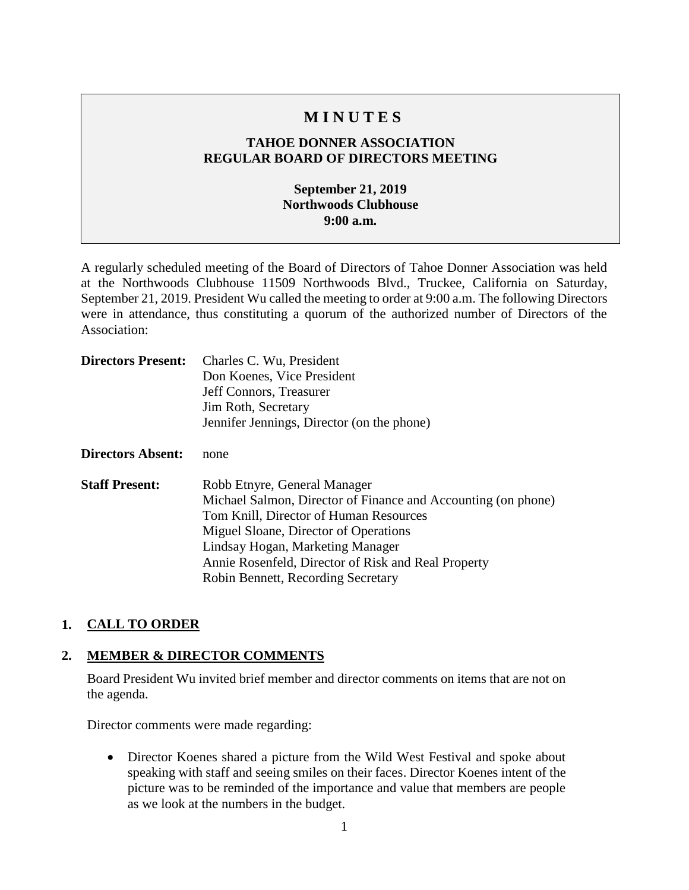# **M I N U T E S**

## **TAHOE DONNER ASSOCIATION REGULAR BOARD OF DIRECTORS MEETING**

## **September 21, 2019 Northwoods Clubhouse 9:00 a.m.**

A regularly scheduled meeting of the Board of Directors of Tahoe Donner Association was held at the Northwoods Clubhouse 11509 Northwoods Blvd., Truckee, California on Saturday, September 21, 2019. President Wu called the meeting to order at 9:00 a.m. The following Directors were in attendance, thus constituting a quorum of the authorized number of Directors of the Association:

| <b>Directors Present:</b> | Charles C. Wu, President                                      |
|---------------------------|---------------------------------------------------------------|
|                           | Don Koenes, Vice President                                    |
|                           | Jeff Connors, Treasurer                                       |
|                           | Jim Roth, Secretary                                           |
|                           | Jennifer Jennings, Director (on the phone)                    |
| <b>Directors Absent:</b>  | none                                                          |
| <b>Staff Present:</b>     | Robb Etnyre, General Manager                                  |
|                           | Michael Salmon, Director of Finance and Accounting (on phone) |
|                           | Tom Knill, Director of Human Resources                        |
|                           | Miguel Sloane, Director of Operations                         |
|                           | Lindsay Hogan, Marketing Manager                              |
|                           | Annie Rosenfeld, Director of Risk and Real Property           |
|                           | Robin Bennett, Recording Secretary                            |

#### **1. CALL TO ORDER**

#### **2. MEMBER & DIRECTOR COMMENTS**

Board President Wu invited brief member and director comments on items that are not on the agenda.

Director comments were made regarding:

• Director Koenes shared a picture from the Wild West Festival and spoke about speaking with staff and seeing smiles on their faces. Director Koenes intent of the picture was to be reminded of the importance and value that members are people as we look at the numbers in the budget.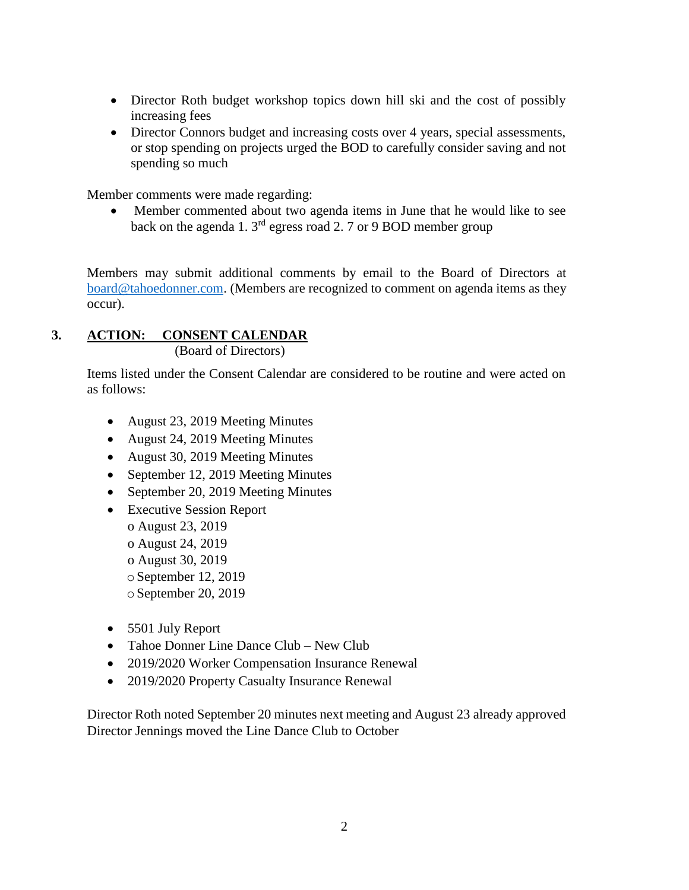- Director Roth budget workshop topics down hill ski and the cost of possibly increasing fees
- Director Connors budget and increasing costs over 4 years, special assessments, or stop spending on projects urged the BOD to carefully consider saving and not spending so much

Member comments were made regarding:

• Member commented about two agenda items in June that he would like to see back on the agenda 1. 3rd egress road 2. 7 or 9 BOD member group

Members may submit additional comments by email to the Board of Directors at [board@tahoedonner.com.](mailto:board@tahoedonner.com) (Members are recognized to comment on agenda items as they occur).

# **3. ACTION: CONSENT CALENDAR**

(Board of Directors)

Items listed under the Consent Calendar are considered to be routine and were acted on as follows:

- August 23, 2019 Meeting Minutes
- August 24, 2019 Meeting Minutes
- August 30, 2019 Meeting Minutes
- September 12, 2019 Meeting Minutes
- September 20, 2019 Meeting Minutes
- Executive Session Report o August 23, 2019 o August 24, 2019 o August 30, 2019 oSeptember 12, 2019 oSeptember 20, 2019
- 5501 July Report
- Tahoe Donner Line Dance Club New Club
- 2019/2020 Worker Compensation Insurance Renewal
- 2019/2020 Property Casualty Insurance Renewal

Director Roth noted September 20 minutes next meeting and August 23 already approved Director Jennings moved the Line Dance Club to October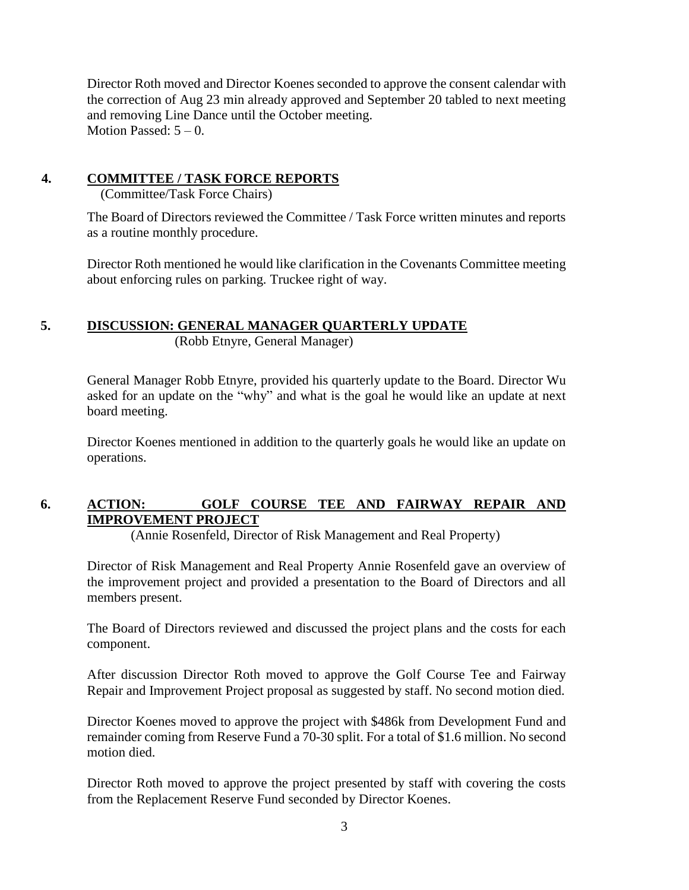Director Roth moved and Director Koenes seconded to approve the consent calendar with the correction of Aug 23 min already approved and September 20 tabled to next meeting and removing Line Dance until the October meeting. Motion Passed:  $5 - 0$ .

## **4. COMMITTEE / TASK FORCE REPORTS**

(Committee/Task Force Chairs)

The Board of Directors reviewed the Committee / Task Force written minutes and reports as a routine monthly procedure.

Director Roth mentioned he would like clarification in the Covenants Committee meeting about enforcing rules on parking. Truckee right of way.

# **5. DISCUSSION: GENERAL MANAGER QUARTERLY UPDATE**

(Robb Etnyre, General Manager)

General Manager Robb Etnyre, provided his quarterly update to the Board. Director Wu asked for an update on the "why" and what is the goal he would like an update at next board meeting.

Director Koenes mentioned in addition to the quarterly goals he would like an update on operations.

# **6. ACTION: GOLF COURSE TEE AND FAIRWAY REPAIR AND IMPROVEMENT PROJECT**

(Annie Rosenfeld, Director of Risk Management and Real Property)

Director of Risk Management and Real Property Annie Rosenfeld gave an overview of the improvement project and provided a presentation to the Board of Directors and all members present.

The Board of Directors reviewed and discussed the project plans and the costs for each component.

After discussion Director Roth moved to approve the Golf Course Tee and Fairway Repair and Improvement Project proposal as suggested by staff. No second motion died.

Director Koenes moved to approve the project with \$486k from Development Fund and remainder coming from Reserve Fund a 70-30 split. For a total of \$1.6 million. No second motion died.

Director Roth moved to approve the project presented by staff with covering the costs from the Replacement Reserve Fund seconded by Director Koenes.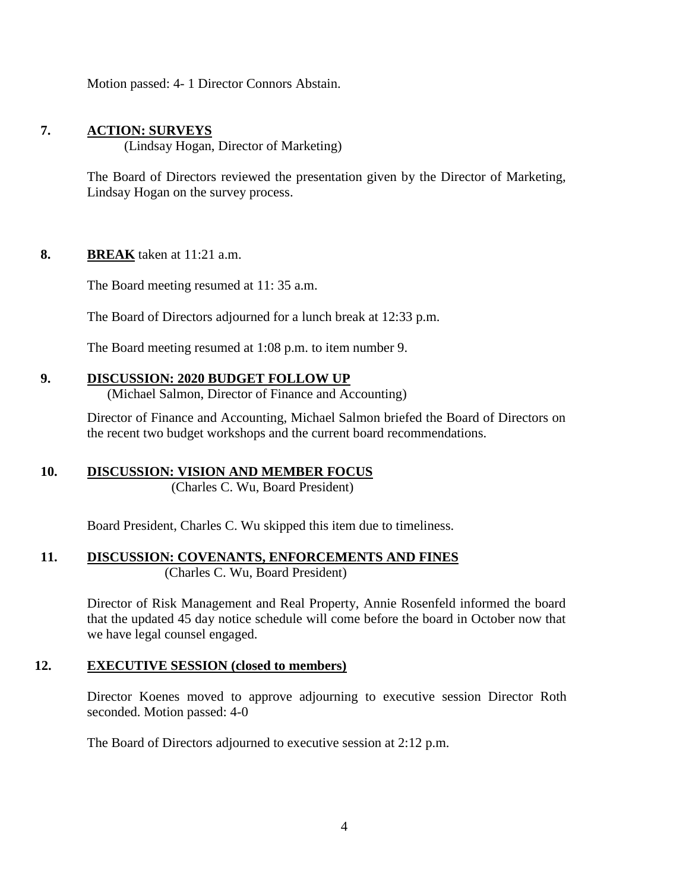Motion passed: 4- 1 Director Connors Abstain.

## **7. ACTION: SURVEYS**

(Lindsay Hogan, Director of Marketing)

The Board of Directors reviewed the presentation given by the Director of Marketing, Lindsay Hogan on the survey process.

#### **8. BREAK** taken at 11:21 a.m.

The Board meeting resumed at 11: 35 a.m.

The Board of Directors adjourned for a lunch break at 12:33 p.m.

The Board meeting resumed at 1:08 p.m. to item number 9.

#### **9. DISCUSSION: 2020 BUDGET FOLLOW UP**

(Michael Salmon, Director of Finance and Accounting)

Director of Finance and Accounting, Michael Salmon briefed the Board of Directors on the recent two budget workshops and the current board recommendations.

# **10. DISCUSSION: VISION AND MEMBER FOCUS**

(Charles C. Wu, Board President)

Board President, Charles C. Wu skipped this item due to timeliness.

# **11. DISCUSSION: COVENANTS, ENFORCEMENTS AND FINES**

(Charles C. Wu, Board President)

Director of Risk Management and Real Property, Annie Rosenfeld informed the board that the updated 45 day notice schedule will come before the board in October now that we have legal counsel engaged.

#### **12. EXECUTIVE SESSION (closed to members)**

Director Koenes moved to approve adjourning to executive session Director Roth seconded. Motion passed: 4-0

The Board of Directors adjourned to executive session at 2:12 p.m.